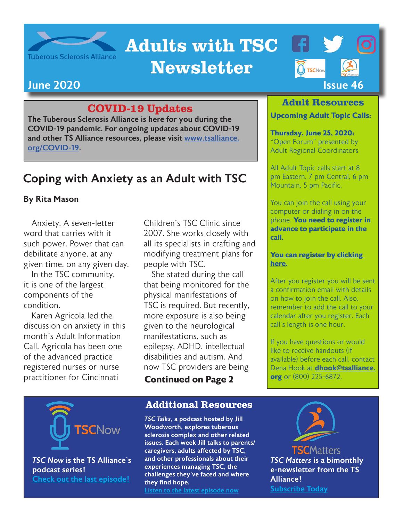

# Adults with TSC

## Newsletter



#### COVID-19 Updates

The Tuberous Sclerosis Alliance is here for you during the COVID-19 pandemic. For ongoing updates about COVID-19 and other TS Alliance resources, please visit [www.tsalliance.](http://www.tsalliance.org/COVID-19) [org/COVID-19](http://www.tsalliance.org/COVID-19).

### Coping with Anxiety as an Adult with TSC

#### By Rita Mason

Anxiety. A seven-letter word that carries with it such power. Power that can debilitate anyone, at any given time, on any given day.

In the TSC community, it is one of the largest components of the condition.

Karen Agricola led the discussion on anxiety in this month's Adult Information Call. Agricola has been one of the advanced practice registered nurses or nurse practitioner for Cincinnati

Children's TSC Clinic since 2007. She works closely with all its specialists in crafting and modifying treatment plans for people with TSC.

She stated during the call that being monitored for the physical manifestations of TSC is required. But recently, more exposure is also being given to the neurological manifestations, such as epilepsy, ADHD, intellectual disabilities and autism. And now TSC providers are being

**Continued on Page 2**

#### Additional Resources

*TSC Talks,* a podcast hosted by Jill Woodworth, explores tuberous sclerosis complex and other related issues. Each week Jill talks to parents/ caregivers, adults affected by TSC, and other professionals about their experiences managing TSC, the challenges they've faced and where they find hope. [Listen to the latest episode now](http://tsctalks.com/)

**TSCMatters** *TSC Matters* is a bimonthly e-newsletter from the TS Alliance! [Subscribe Today](https://www.tsalliance.org/tsc-matters-opt-in/)



*TSC Now* is the TS Alliance's podcast series! [Check out the last episode!](https://tsc-now.blubrry.net/)

#### Adult Resources

#### **Upcoming Adult Topic Calls:**

**Thursday, June 25, 2020:**  "Open Forum" presented by Adult Regional Coordinators

All Adult Topic calls start at 8 pm Eastern, 7 pm Central, 6 pm Mountain, 5 pm Pacific.

You can join the call using your computer or dialing in on the phone. **You need to register in advance to participate in the call.**

#### **[You can register by clicking](https://us02web.zoom.us/meeting/register/tZ0vfu-tqjMuHtaGeRoSLTv5qpPtfO1YqOuT)  [here](https://us02web.zoom.us/meeting/register/tZ0vfu-tqjMuHtaGeRoSLTv5qpPtfO1YqOuT).**

After you register you will be sent a confirmation email with details on how to join the call. Also, remember to add the call to your calendar after you register. Each call's length is one hour.

If you have questions or would like to receive handouts (if available) before each call, contact Dena Hook at **[dhook@tsalliance.](mailto:dhook%40tsalliance.org?subject=Adult%20Topic%20Call) org** or (800) 225-6872.